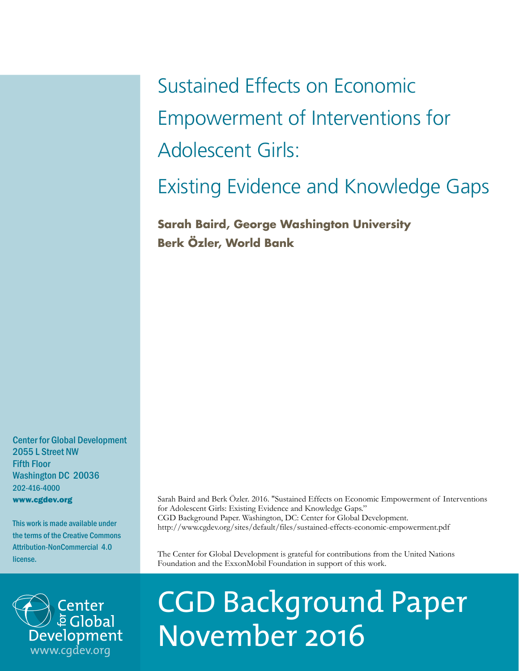Sustained Effects on Economic Empowerment of Interventions for Adolescent Girls:

Existing Evidence and Knowledge Gaps

**Sarah Baird, George Washington University Berk Özler, World Bank**

Center for Global Development 2055 L Street NW Fifth Floor Washington DC 20036 202-416-4000 www.cgdev.org

This work is made available under the terms of the Creative Commons Attribution-NonCommercial 4.0 license.



Sarah Baird and Berk Özler. 2016. "Sustained Effects on Economic Empowerment of Interventions for Adolescent Girls: Existing Evidence and Knowledge Gaps." CGD Background Paper. Washington, DC: Center for Global Development. http://www.cgdev.org/sites/default/files/sustained-effects-economic-empowerment.pdf

The Center for Global Development is grateful for contributions from the United Nations Foundation and the ExxonMobil Foundation in support of this work.

# CGD Background Paper November 2016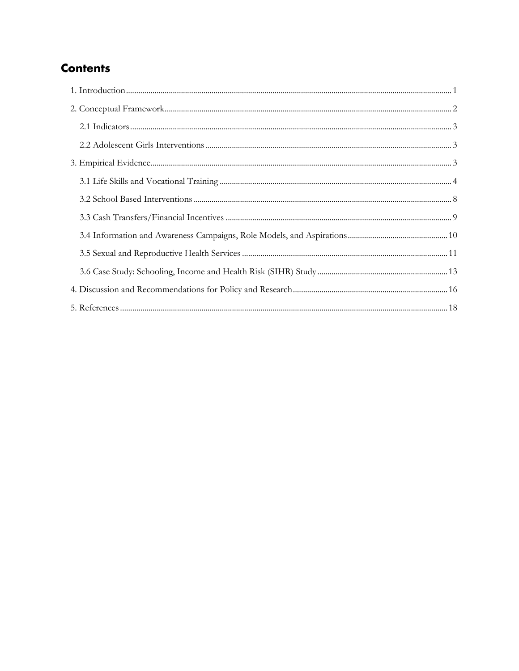# **Contents**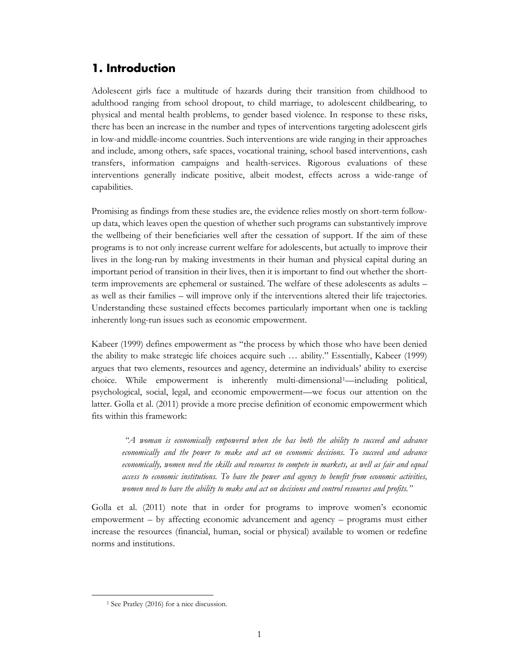# <span id="page-2-0"></span>**1. Introduction**

Adolescent girls face a multitude of hazards during their transition from childhood to adulthood ranging from school dropout, to child marriage, to adolescent childbearing, to physical and mental health problems, to gender based violence. In response to these risks, there has been an increase in the number and types of interventions targeting adolescent girls in low-and middle-income countries. Such interventions are wide ranging in their approaches and include, among others, safe spaces, vocational training, school based interventions, cash transfers, information campaigns and health-services. Rigorous evaluations of these interventions generally indicate positive, albeit modest, effects across a wide-range of capabilities.

Promising as findings from these studies are, the evidence relies mostly on short-term followup data, which leaves open the question of whether such programs can substantively improve the wellbeing of their beneficiaries well after the cessation of support. If the aim of these programs is to not only increase current welfare for adolescents, but actually to improve their lives in the long-run by making investments in their human and physical capital during an important period of transition in their lives, then it is important to find out whether the shortterm improvements are ephemeral or sustained. The welfare of these adolescents as adults – as well as their families – will improve only if the interventions altered their life trajectories. Understanding these sustained effects becomes particularly important when one is tackling inherently long-run issues such as economic empowerment.

Kabeer (1999) defines empowerment as "the process by which those who have been denied the ability to make strategic life choices acquire such … ability." Essentially, Kabeer (1999) argues that two elements, resources and agency, determine an individuals' ability to exercise choice. While empowerment is inherently multi-dimensional[1](#page-2-1)—including political, psychological, social, legal, and economic empowerment—we focus our attention on the latter. Golla et al. (2011) provide a more precise definition of economic empowerment which fits within this framework:

*"A woman is economically empowered when she has both the ability to succeed and advance economically and the power to make and act on economic decisions. To succeed and advance economically, women need the skills and resources to compete in markets, as well as fair and equal access to economic institutions. To have the power and agency to benefit from economic activities, women need to have the ability to make and act on decisions and control resources and profits."*

Golla et al. (2011) note that in order for programs to improve women's economic empowerment – by affecting economic advancement and agency – programs must either increase the resources (financial, human, social or physical) available to women or redefine norms and institutions.

<span id="page-2-1"></span>l

<sup>1</sup> See Pratley (2016) for a nice discussion.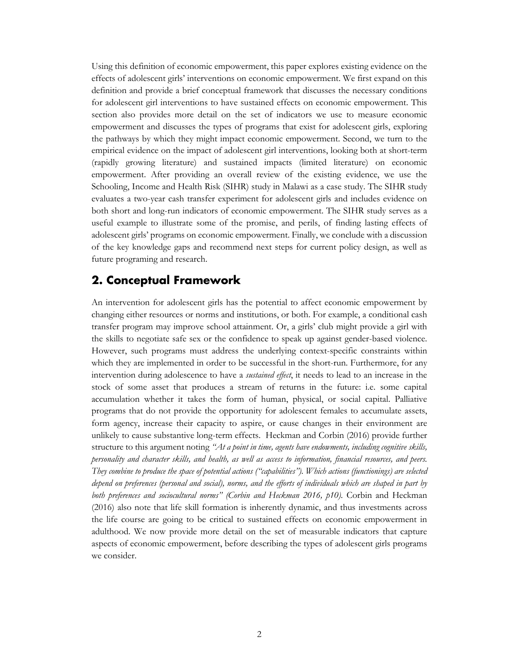Using this definition of economic empowerment, this paper explores existing evidence on the effects of adolescent girls' interventions on economic empowerment. We first expand on this definition and provide a brief conceptual framework that discusses the necessary conditions for adolescent girl interventions to have sustained effects on economic empowerment. This section also provides more detail on the set of indicators we use to measure economic empowerment and discusses the types of programs that exist for adolescent girls, exploring the pathways by which they might impact economic empowerment. Second, we turn to the empirical evidence on the impact of adolescent girl interventions, looking both at short-term (rapidly growing literature) and sustained impacts (limited literature) on economic empowerment. After providing an overall review of the existing evidence, we use the Schooling, Income and Health Risk (SIHR) study in Malawi as a case study. The SIHR study evaluates a two-year cash transfer experiment for adolescent girls and includes evidence on both short and long-run indicators of economic empowerment. The SIHR study serves as a useful example to illustrate some of the promise, and perils, of finding lasting effects of adolescent girls' programs on economic empowerment. Finally, we conclude with a discussion of the key knowledge gaps and recommend next steps for current policy design, as well as future programing and research.

### <span id="page-3-0"></span>**2. Conceptual Framework**

An intervention for adolescent girls has the potential to affect economic empowerment by changing either resources or norms and institutions, or both. For example, a conditional cash transfer program may improve school attainment. Or, a girls' club might provide a girl with the skills to negotiate safe sex or the confidence to speak up against gender-based violence. However, such programs must address the underlying context-specific constraints within which they are implemented in order to be successful in the short-run. Furthermore, for any intervention during adolescence to have a *sustained effect*, it needs to lead to an increase in the stock of some asset that produces a stream of returns in the future: i.e. some capital accumulation whether it takes the form of human, physical, or social capital. Palliative programs that do not provide the opportunity for adolescent females to accumulate assets, form agency, increase their capacity to aspire, or cause changes in their environment are unlikely to cause substantive long-term effects. Heckman and Corbin (2016) provide further structure to this argument noting *"At a point in time, agents have endowments, including cognitive skills, personality and character skills, and health, as well as access to information, financial resources, and peers. They combine to produce the space of potential actions ("capabilities"). Which actions (functionings) are selected depend on preferences (personal and social), norms, and the efforts of individuals which are shaped in part by both preferences and sociocultural norms" (Corbin and Heckman 2016, p10).* Corbin and Heckman (2016) also note that life skill formation is inherently dynamic, and thus investments across the life course are going to be critical to sustained effects on economic empowerment in adulthood. We now provide more detail on the set of measurable indicators that capture aspects of economic empowerment, before describing the types of adolescent girls programs we consider.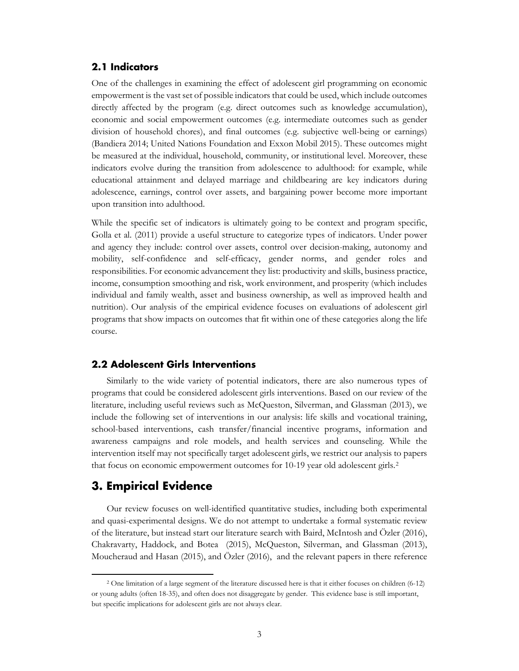#### <span id="page-4-0"></span>**2.1 Indicators**

One of the challenges in examining the effect of adolescent girl programming on economic empowerment is the vast set of possible indicators that could be used, which include outcomes directly affected by the program (e.g. direct outcomes such as knowledge accumulation), economic and social empowerment outcomes (e.g. intermediate outcomes such as gender division of household chores), and final outcomes (e.g. subjective well-being or earnings) (Bandiera 2014; United Nations Foundation and Exxon Mobil 2015). These outcomes might be measured at the individual, household, community, or institutional level. Moreover, these indicators evolve during the transition from adolescence to adulthood: for example, while educational attainment and delayed marriage and childbearing are key indicators during adolescence, earnings, control over assets, and bargaining power become more important upon transition into adulthood.

While the specific set of indicators is ultimately going to be context and program specific, Golla et al. (2011) provide a useful structure to categorize types of indicators. Under power and agency they include: control over assets, control over decision-making, autonomy and mobility, self-confidence and self-efficacy, gender norms, and gender roles and responsibilities. For economic advancement they list: productivity and skills, business practice, income, consumption smoothing and risk, work environment, and prosperity (which includes individual and family wealth, asset and business ownership, as well as improved health and nutrition). Our analysis of the empirical evidence focuses on evaluations of adolescent girl programs that show impacts on outcomes that fit within one of these categories along the life course.

#### <span id="page-4-1"></span>**2.2 Adolescent Girls Interventions**

Similarly to the wide variety of potential indicators, there are also numerous types of programs that could be considered adolescent girls interventions. Based on our review of the literature, including useful reviews such as McQueston, Silverman, and Glassman (2013), we include the following set of interventions in our analysis: life skills and vocational training, school-based interventions, cash transfer/financial incentive programs, information and awareness campaigns and role models, and health services and counseling. While the intervention itself may not specifically target adolescent girls, we restrict our analysis to papers that focus on economic empowerment outcomes for 10-19 year old adolescent girls.[2](#page-4-3)

#### <span id="page-4-2"></span>**3. Empirical Evidence**

l

Our review focuses on well-identified quantitative studies, including both experimental and quasi-experimental designs. We do not attempt to undertake a formal systematic review of the literature, but instead start our literature search with Baird, McIntosh and Özler (2016), Chakravarty, Haddock, and Botea (2015), McQueston, Silverman, and Glassman (2013), Moucheraud and Hasan (2015), and Özler (2016), and the relevant papers in there reference

<span id="page-4-3"></span><sup>2</sup> One limitation of a large segment of the literature discussed here is that it either focuses on children (6-12) or young adults (often 18-35), and often does not disaggregate by gender. This evidence base is still important, but specific implications for adolescent girls are not always clear.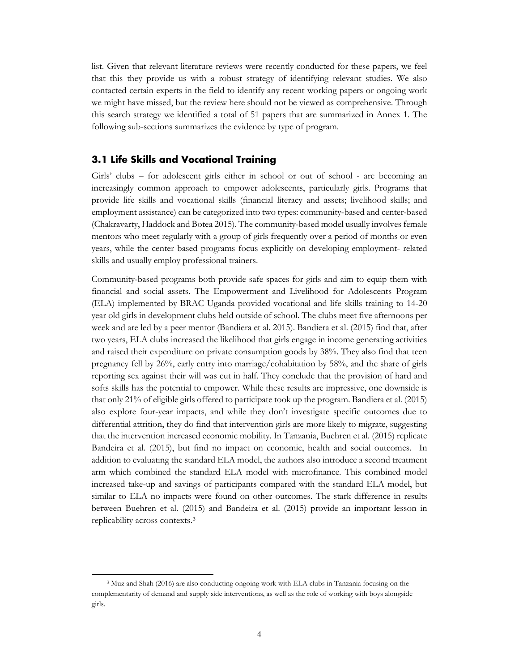list. Given that relevant literature reviews were recently conducted for these papers, we feel that this they provide us with a robust strategy of identifying relevant studies. We also contacted certain experts in the field to identify any recent working papers or ongoing work we might have missed, but the review here should not be viewed as comprehensive. Through this search strategy we identified a total of 51 papers that are summarized in Annex 1. The following sub-sections summarizes the evidence by type of program.

#### <span id="page-5-0"></span>**3.1 Life Skills and Vocational Training**

Girls' clubs – for adolescent girls either in school or out of school - are becoming an increasingly common approach to empower adolescents, particularly girls. Programs that provide life skills and vocational skills (financial literacy and assets; livelihood skills; and employment assistance) can be categorized into two types: community-based and center-based (Chakravarty, Haddock and Botea 2015). The community-based model usually involves female mentors who meet regularly with a group of girls frequently over a period of months or even years, while the center based programs focus explicitly on developing employment- related skills and usually employ professional trainers.

Community-based programs both provide safe spaces for girls and aim to equip them with financial and social assets. The Empowerment and Livelihood for Adolescents Program (ELA) implemented by BRAC Uganda provided vocational and life skills training to 14-20 year old girls in development clubs held outside of school. The clubs meet five afternoons per week and are led by a peer mentor (Bandiera et al. 2015). Bandiera et al. (2015) find that, after two years, ELA clubs increased the likelihood that girls engage in income generating activities and raised their expenditure on private consumption goods by 38%. They also find that teen pregnancy fell by 26%, early entry into marriage/cohabitation by 58%, and the share of girls reporting sex against their will was cut in half. They conclude that the provision of hard and softs skills has the potential to empower. While these results are impressive, one downside is that only 21% of eligible girls offered to participate took up the program. Bandiera et al. (2015) also explore four-year impacts, and while they don't investigate specific outcomes due to differential attrition, they do find that intervention girls are more likely to migrate, suggesting that the intervention increased economic mobility. In Tanzania, Buehren et al. (2015) replicate Bandeira et al. (2015), but find no impact on economic, health and social outcomes. In addition to evaluating the standard ELA model, the authors also introduce a second treatment arm which combined the standard ELA model with microfinance. This combined model increased take-up and savings of participants compared with the standard ELA model, but similar to ELA no impacts were found on other outcomes. The stark difference in results between Buehren et al. (2015) and Bandeira et al. (2015) provide an important lesson in replicability across contexts.[3](#page-5-1)

l

<span id="page-5-1"></span><sup>3</sup> Muz and Shah (2016) are also conducting ongoing work with ELA clubs in Tanzania focusing on the complementarity of demand and supply side interventions, as well as the role of working with boys alongside girls.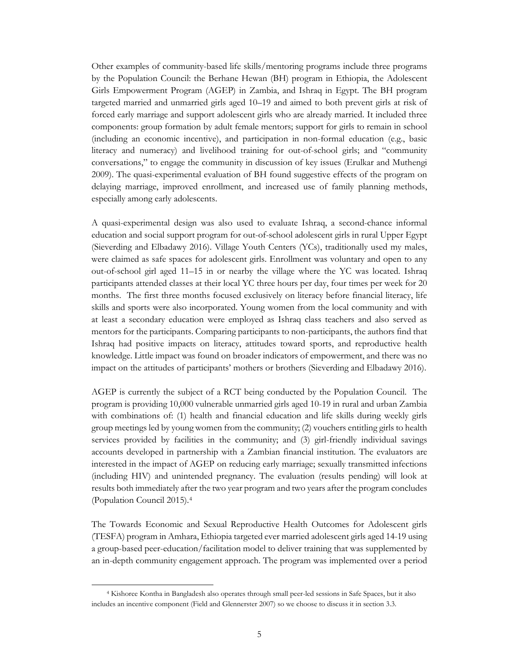Other examples of community-based life skills/mentoring programs include three programs by the Population Council: the Berhane Hewan (BH) program in Ethiopia, the Adolescent Girls Empowerment Program (AGEP) in Zambia, and Ishraq in Egypt. The BH program targeted married and unmarried girls aged 10–19 and aimed to both prevent girls at risk of forced early marriage and support adolescent girls who are already married. It included three components: group formation by adult female mentors; support for girls to remain in school (including an economic incentive), and participation in non-formal education (e.g., basic literacy and numeracy) and livelihood training for out-of-school girls; and "community conversations," to engage the community in discussion of key issues (Erulkar and Muthengi 2009). The quasi-experimental evaluation of BH found suggestive effects of the program on delaying marriage, improved enrollment, and increased use of family planning methods, especially among early adolescents.

A quasi-experimental design was also used to evaluate Ishraq, a second-chance informal education and social support program for out-of-school adolescent girls in rural Upper Egypt (Sieverding and Elbadawy 2016). Village Youth Centers (YCs), traditionally used my males, were claimed as safe spaces for adolescent girls. Enrollment was voluntary and open to any out-of-school girl aged 11–15 in or nearby the village where the YC was located. Ishraq participants attended classes at their local YC three hours per day, four times per week for 20 months. The first three months focused exclusively on literacy before financial literacy, life skills and sports were also incorporated. Young women from the local community and with at least a secondary education were employed as Ishraq class teachers and also served as mentors for the participants. Comparing participants to non-participants, the authors find that Ishraq had positive impacts on literacy, attitudes toward sports, and reproductive health knowledge. Little impact was found on broader indicators of empowerment, and there was no impact on the attitudes of participants' mothers or brothers (Sieverding and Elbadawy 2016).

AGEP is currently the subject of a RCT being conducted by the Population Council. The program is providing 10,000 vulnerable unmarried girls aged 10-19 in rural and urban Zambia with combinations of: (1) health and financial education and life skills during weekly girls group meetings led by young women from the community; (2) vouchers entitling girls to health services provided by facilities in the community; and (3) girl-friendly individual savings accounts developed in partnership with a Zambian financial institution. The evaluators are interested in the impact of AGEP on reducing early marriage; sexually transmitted infections (including HIV) and unintended pregnancy. The evaluation (results pending) will look at results both immediately after the two year program and two years after the program concludes (Population Council 2015)[.4](#page-6-0) 

The Towards Economic and Sexual Reproductive Health Outcomes for Adolescent girls (TESFA) program in Amhara, Ethiopia targeted ever married adolescent girls aged 14-19 using a group-based peer-education/facilitation model to deliver training that was supplemented by an in-depth community engagement approach. The program was implemented over a period

 $\overline{a}$ 

<span id="page-6-0"></span><sup>4</sup> Kishoree Kontha in Bangladesh also operates through small peer-led sessions in Safe Spaces, but it also includes an incentive component (Field and Glennerster 2007) so we choose to discuss it in section 3.3.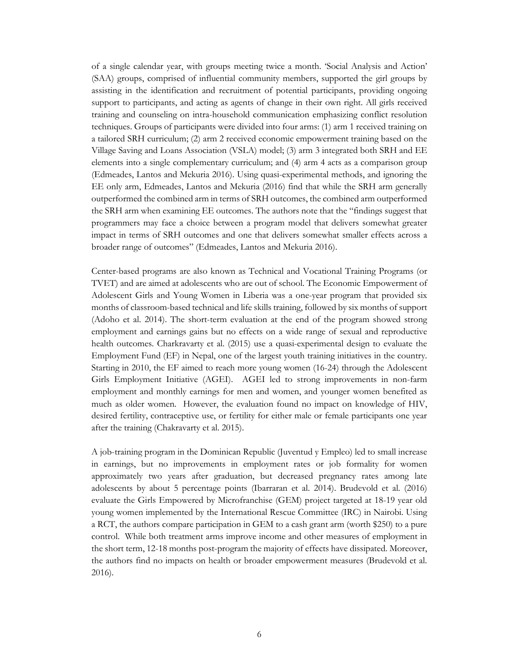of a single calendar year, with groups meeting twice a month. 'Social Analysis and Action' (SAA) groups, comprised of influential community members, supported the girl groups by assisting in the identification and recruitment of potential participants, providing ongoing support to participants, and acting as agents of change in their own right. All girls received training and counseling on intra-household communication emphasizing conflict resolution techniques. Groups of participants were divided into four arms: (1) arm 1 received training on a tailored SRH curriculum; (2) arm 2 received economic empowerment training based on the Village Saving and Loans Association (VSLA) model; (3) arm 3 integrated both SRH and EE elements into a single complementary curriculum; and (4) arm 4 acts as a comparison group (Edmeades, Lantos and Mekuria 2016). Using quasi-experimental methods, and ignoring the EE only arm, Edmeades, Lantos and Mekuria (2016) find that while the SRH arm generally outperformed the combined arm in terms of SRH outcomes, the combined arm outperformed the SRH arm when examining EE outcomes. The authors note that the "findings suggest that programmers may face a choice between a program model that delivers somewhat greater impact in terms of SRH outcomes and one that delivers somewhat smaller effects across a broader range of outcomes" (Edmeades, Lantos and Mekuria 2016).

Center-based programs are also known as Technical and Vocational Training Programs (or TVET) and are aimed at adolescents who are out of school. The Economic Empowerment of Adolescent Girls and Young Women in Liberia was a one-year program that provided six months of classroom-based technical and life skills training, followed by six months of support (Adoho et al. 2014). The short-term evaluation at the end of the program showed strong employment and earnings gains but no effects on a wide range of sexual and reproductive health outcomes. Charkravarty et al. (2015) use a quasi-experimental design to evaluate the Employment Fund (EF) in Nepal, one of the largest youth training initiatives in the country. Starting in 2010, the EF aimed to reach more young women (16-24) through the Adolescent Girls Employment Initiative (AGEI). AGEI led to strong improvements in non-farm employment and monthly earnings for men and women, and younger women benefited as much as older women. However, the evaluation found no impact on knowledge of HIV, desired fertility, contraceptive use, or fertility for either male or female participants one year after the training (Chakravarty et al. 2015).

A job-training program in the Dominican Republic (Juventud y Empleo) led to small increase in earnings, but no improvements in employment rates or job formality for women approximately two years after graduation, but decreased pregnancy rates among late adolescents by about 5 percentage points (Ibarraran et al. 2014). Brudevold et al. (2016) evaluate the Girls Empowered by Microfranchise (GEM) project targeted at 18-19 year old young women implemented by the International Rescue Committee (IRC) in Nairobi. Using a RCT, the authors compare participation in GEM to a cash grant arm (worth \$250) to a pure control. While both treatment arms improve income and other measures of employment in the short term, 12-18 months post-program the majority of effects have dissipated. Moreover, the authors find no impacts on health or broader empowerment measures (Brudevold et al. 2016).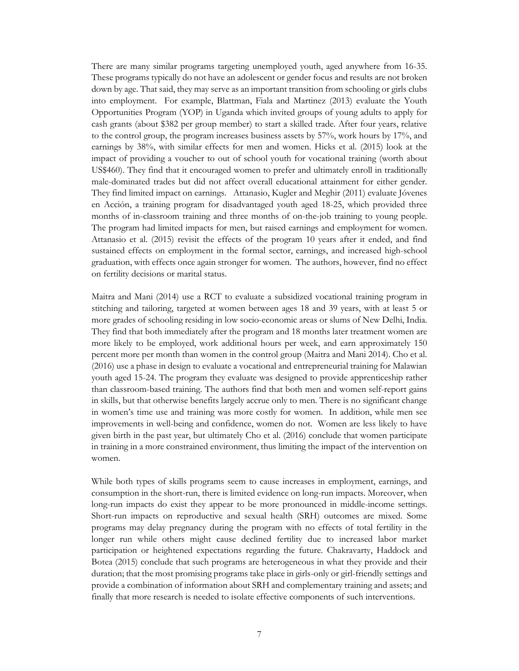There are many similar programs targeting unemployed youth, aged anywhere from 16-35. These programs typically do not have an adolescent or gender focus and results are not broken down by age. That said, they may serve as an important transition from schooling or girls clubs into employment. For example, Blattman, Fiala and Martinez (2013) evaluate the Youth Opportunities Program (YOP) in Uganda which invited groups of young adults to apply for cash grants (about \$382 per group member) to start a skilled trade. After four years, relative to the control group, the program increases business assets by 57%, work hours by 17%, and earnings by 38%, with similar effects for men and women. Hicks et al. (2015) look at the impact of providing a voucher to out of school youth for vocational training (worth about US\$460). They find that it encouraged women to prefer and ultimately enroll in traditionally male-dominated trades but did not affect overall educational attainment for either gender. They find limited impact on earnings. Attanasio, Kugler and Meghir (2011) evaluate Jóvenes en Acción, a training program for disadvantaged youth aged 18-25, which provided three months of in-classroom training and three months of on-the-job training to young people. The program had limited impacts for men, but raised earnings and employment for women. Attanasio et al. (2015) revisit the effects of the program 10 years after it ended, and find sustained effects on employment in the formal sector, earnings, and increased high-school graduation, with effects once again stronger for women. The authors, however, find no effect on fertility decisions or marital status.

Maitra and Mani (2014) use a RCT to evaluate a subsidized vocational training program in stitching and tailoring, targeted at women between ages 18 and 39 years, with at least 5 or more grades of schooling residing in low socio-economic areas or slums of New Delhi, India. They find that both immediately after the program and 18 months later treatment women are more likely to be employed, work additional hours per week, and earn approximately 150 percent more per month than women in the control group (Maitra and Mani 2014). Cho et al. (2016) use a phase in design to evaluate a vocational and entrepreneurial training for Malawian youth aged 15-24. The program they evaluate was designed to provide apprenticeship rather than classroom-based training. The authors find that both men and women self-report gains in skills, but that otherwise benefits largely accrue only to men. There is no significant change in women's time use and training was more costly for women. In addition, while men see improvements in well-being and confidence, women do not. Women are less likely to have given birth in the past year, but ultimately Cho et al. (2016) conclude that women participate in training in a more constrained environment, thus limiting the impact of the intervention on women.

While both types of skills programs seem to cause increases in employment, earnings, and consumption in the short-run, there is limited evidence on long-run impacts. Moreover, when long-run impacts do exist they appear to be more pronounced in middle-income settings. Short-run impacts on reproductive and sexual health (SRH) outcomes are mixed. Some programs may delay pregnancy during the program with no effects of total fertility in the longer run while others might cause declined fertility due to increased labor market participation or heightened expectations regarding the future. Chakravarty, Haddock and Botea (2015) conclude that such programs are heterogeneous in what they provide and their duration; that the most promising programs take place in girls-only or girl-friendly settings and provide a combination of information about SRH and complementary training and assets; and finally that more research is needed to isolate effective components of such interventions.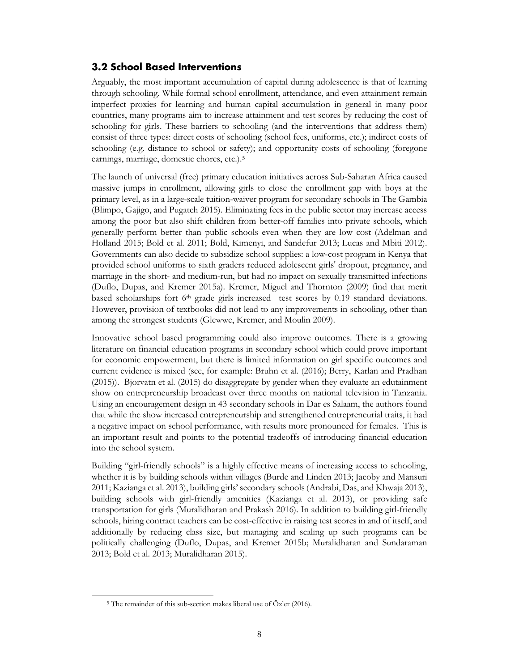#### <span id="page-9-0"></span>**3.2 School Based Interventions**

Arguably, the most important accumulation of capital during adolescence is that of learning through schooling. While formal school enrollment, attendance, and even attainment remain imperfect proxies for learning and human capital accumulation in general in many poor countries, many programs aim to increase attainment and test scores by reducing the cost of schooling for girls. These barriers to schooling (and the interventions that address them) consist of three types: direct costs of schooling (school fees, uniforms, etc.); indirect costs of schooling (e.g. distance to school or safety); and opportunity costs of schooling (foregone earnings, marriage, domestic chores, etc.).[5](#page-9-1)

The launch of universal (free) primary education initiatives across Sub-Saharan Africa caused massive jumps in enrollment, allowing girls to close the enrollment gap with boys at the primary level, as in a large-scale tuition-waiver program for secondary schools in The Gambia (Blimpo, Gajigo, and Pugatch 2015). Eliminating fees in the public sector may increase access among the poor but also shift children from better-off families into private schools, which generally perform better than public schools even when they are low cost (Adelman and Holland 2015; Bold et al. 2011; Bold, Kimenyi, and Sandefur 2013; Lucas and Mbiti 2012). Governments can also decide to subsidize school supplies: a low-cost program in Kenya that provided school uniforms to sixth graders reduced adolescent girls' dropout, pregnancy, and marriage in the short- and medium-run, but had no impact on sexually transmitted infections (Duflo, Dupas, and Kremer 2015a). Kremer, Miguel and Thornton (2009) find that merit based scholarships fort 6<sup>th</sup> grade girls increased test scores by 0.19 standard deviations. However, provision of textbooks did not lead to any improvements in schooling, other than among the strongest students (Glewwe, Kremer, and Moulin 2009).

Innovative school based programming could also improve outcomes. There is a growing literature on financial education programs in secondary school which could prove important for economic empowerment, but there is limited information on girl specific outcomes and current evidence is mixed (see, for example: Bruhn et al. (2016); Berry, Karlan and Pradhan (2015)). Bjorvatn et al. (2015) do disaggregate by gender when they evaluate an edutainment show on entrepreneurship broadcast over three months on national television in Tanzania. Using an encouragement design in 43 secondary schools in Dar es Salaam, the authors found that while the show increased entrepreneurship and strengthened entrepreneurial traits, it had a negative impact on school performance, with results more pronounced for females. This is an important result and points to the potential tradeoffs of introducing financial education into the school system.

Building "girl-friendly schools" is a highly effective means of increasing access to schooling, whether it is by building schools within villages (Burde and Linden 2013; Jacoby and Mansuri 2011; Kazianga et al. 2013), building girls' secondary schools (Andrabi, Das, and Khwaja 2013), building schools with girl-friendly amenities (Kazianga et al. 2013), or providing safe transportation for girls (Muralidharan and Prakash 2016). In addition to building girl-friendly schools, hiring contract teachers can be cost-effective in raising test scores in and of itself, and additionally by reducing class size, but managing and scaling up such programs can be politically challenging (Duflo, Dupas, and Kremer 2015b; Muralidharan and Sundaraman 2013; Bold et al. 2013; Muralidharan 2015).

<span id="page-9-1"></span>l

<sup>5</sup> The remainder of this sub-section makes liberal use of Özler (2016).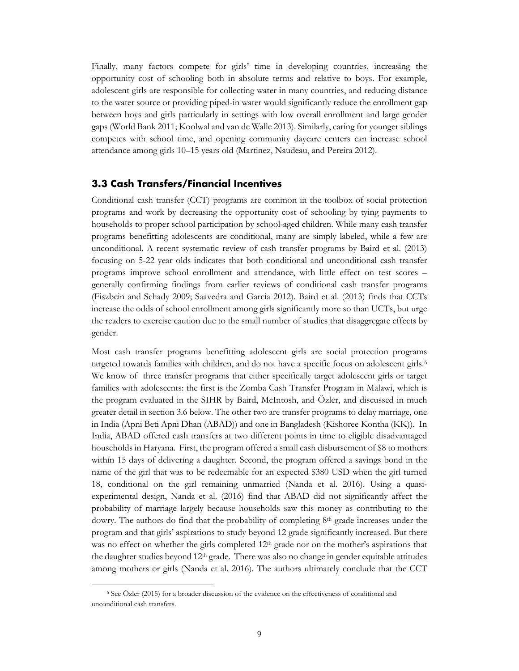Finally, many factors compete for girls' time in developing countries, increasing the opportunity cost of schooling both in absolute terms and relative to boys. For example, adolescent girls are responsible for collecting water in many countries, and reducing distance to the water source or providing piped-in water would significantly reduce the enrollment gap between boys and girls particularly in settings with low overall enrollment and large gender gaps (World Bank 2011; Koolwal and van de Walle 2013). Similarly, caring for younger siblings competes with school time, and opening community daycare centers can increase school attendance among girls 10–15 years old (Martinez, Naudeau, and Pereira 2012).

#### <span id="page-10-0"></span>**3.3 Cash Transfers/Financial Incentives**

Conditional cash transfer (CCT) programs are common in the toolbox of social protection programs and work by decreasing the opportunity cost of schooling by tying payments to households to proper school participation by school-aged children. While many cash transfer programs benefitting adolescents are conditional, many are simply labeled, while a few are unconditional. A recent systematic review of cash transfer programs by Baird et al. (2013) focusing on 5-22 year olds indicates that both conditional and unconditional cash transfer programs improve school enrollment and attendance, with little effect on test scores – generally confirming findings from earlier reviews of conditional cash transfer programs (Fiszbein and Schady 2009; Saavedra and Garcia 2012). Baird et al. (2013) finds that CCTs increase the odds of school enrollment among girls significantly more so than UCTs, but urge the readers to exercise caution due to the small number of studies that disaggregate effects by gender.

Most cash transfer programs benefitting adolescent girls are social protection programs targeted towards families with children, and do not have a specific focus on adolescent girls.<sup>[6](#page-10-1)</sup> We know of three transfer programs that either specifically target adolescent girls or target families with adolescents: the first is the Zomba Cash Transfer Program in Malawi, which is the program evaluated in the SIHR by Baird, McIntosh, and Özler, and discussed in much greater detail in section 3.6 below. The other two are transfer programs to delay marriage, one in India (Apni Beti Apni Dhan (ABAD)) and one in Bangladesh (Kishoree Kontha (KK)). In India, ABAD offered cash transfers at two different points in time to eligible disadvantaged households in Haryana. First, the program offered a small cash disbursement of \$8 to mothers within 15 days of delivering a daughter. Second, the program offered a savings bond in the name of the girl that was to be redeemable for an expected \$380 USD when the girl turned 18, conditional on the girl remaining unmarried (Nanda et al. 2016). Using a quasiexperimental design, Nanda et al. (2016) find that ABAD did not significantly affect the probability of marriage largely because households saw this money as contributing to the dowry. The authors do find that the probability of completing 8th grade increases under the program and that girls' aspirations to study beyond 12 grade significantly increased. But there was no effect on whether the girls completed  $12<sup>th</sup>$  grade nor on the mother's aspirations that the daughter studies beyond  $12<sup>th</sup>$  grade. There was also no change in gender equitable attitudes among mothers or girls (Nanda et al. 2016). The authors ultimately conclude that the CCT

 $\overline{a}$ 

<span id="page-10-1"></span><sup>6</sup> See Özler (2015) for a broader discussion of the evidence on the effectiveness of conditional and unconditional cash transfers.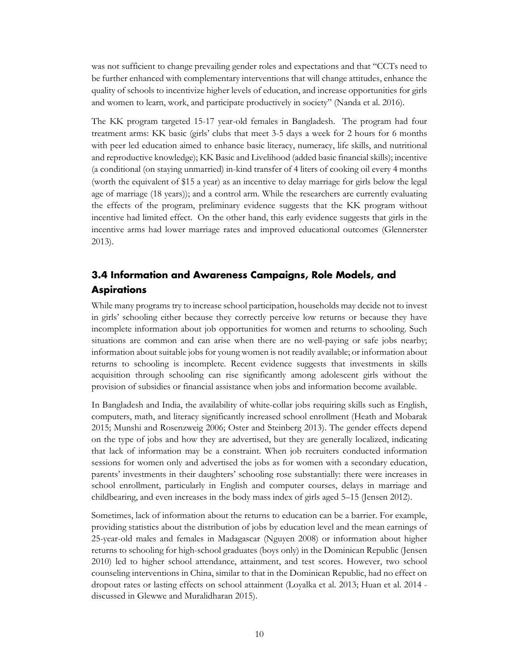was not sufficient to change prevailing gender roles and expectations and that "CCTs need to be further enhanced with complementary interventions that will change attitudes, enhance the quality of schools to incentivize higher levels of education, and increase opportunities for girls and women to learn, work, and participate productively in society" (Nanda et al. 2016).

The KK program targeted 15-17 year-old females in Bangladesh. The program had four treatment arms: KK basic (girls' clubs that meet 3-5 days a week for 2 hours for 6 months with peer led education aimed to enhance basic literacy, numeracy, life skills, and nutritional and reproductive knowledge); KK Basic and Livelihood (added basic financial skills); incentive (a conditional (on staying unmarried) in-kind transfer of 4 liters of cooking oil every 4 months (worth the equivalent of \$15 a year) as an incentive to delay marriage for girls below the legal age of marriage (18 years)); and a control arm. While the researchers are currently evaluating the effects of the program, preliminary evidence suggests that the KK program without incentive had limited effect. On the other hand, this early evidence suggests that girls in the incentive arms had lower marriage rates and improved educational outcomes (Glennerster 2013).

## <span id="page-11-0"></span>**3.4 Information and Awareness Campaigns, Role Models, and Aspirations**

While many programs try to increase school participation, households may decide not to invest in girls' schooling either because they correctly perceive low returns or because they have incomplete information about job opportunities for women and returns to schooling. Such situations are common and can arise when there are no well-paying or safe jobs nearby; information about suitable jobs for young women is not readily available; or information about returns to schooling is incomplete. Recent evidence suggests that investments in skills acquisition through schooling can rise significantly among adolescent girls without the provision of subsidies or financial assistance when jobs and information become available.

In Bangladesh and India, the availability of white-collar jobs requiring skills such as English, computers, math, and literacy significantly increased school enrollment (Heath and Mobarak 2015; Munshi and Rosenzweig 2006; Oster and Steinberg 2013). The gender effects depend on the type of jobs and how they are advertised, but they are generally localized, indicating that lack of information may be a constraint. When job recruiters conducted information sessions for women only and advertised the jobs as for women with a secondary education, parents' investments in their daughters' schooling rose substantially: there were increases in school enrollment, particularly in English and computer courses, delays in marriage and childbearing, and even increases in the body mass index of girls aged 5–15 (Jensen 2012).

Sometimes, lack of information about the returns to education can be a barrier. For example, providing statistics about the distribution of jobs by education level and the mean earnings of 25-year-old males and females in Madagascar (Nguyen 2008) or information about higher returns to schooling for high-school graduates (boys only) in the Dominican Republic (Jensen 2010) led to higher school attendance, attainment, and test scores. However, two school counseling interventions in China, similar to that in the Dominican Republic, had no effect on dropout rates or lasting effects on school attainment (Loyalka et al. 2013; Huan et al. 2014 discussed in Glewwe and Muralidharan 2015).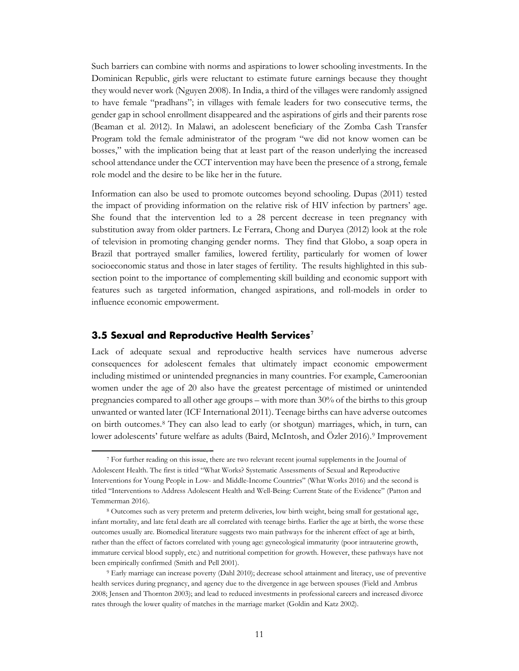Such barriers can combine with norms and aspirations to lower schooling investments. In the Dominican Republic, girls were reluctant to estimate future earnings because they thought they would never work (Nguyen 2008). In India, a third of the villages were randomly assigned to have female "pradhans"; in villages with female leaders for two consecutive terms, the gender gap in school enrollment disappeared and the aspirations of girls and their parents rose (Beaman et al. 2012). In Malawi, an adolescent beneficiary of the Zomba Cash Transfer Program told the female administrator of the program "we did not know women can be bosses," with the implication being that at least part of the reason underlying the increased school attendance under the CCT intervention may have been the presence of a strong, female role model and the desire to be like her in the future.

Information can also be used to promote outcomes beyond schooling. Dupas (2011) tested the impact of providing information on the relative risk of HIV infection by partners' age. She found that the intervention led to a 28 percent decrease in teen pregnancy with substitution away from older partners. Le Ferrara, Chong and Duryea (2012) look at the role of television in promoting changing gender norms. They find that Globo, a soap opera in Brazil that portrayed smaller families, lowered fertility, particularly for women of lower socioeconomic status and those in later stages of fertility. The results highlighted in this subsection point to the importance of complementing skill building and economic support with features such as targeted information, changed aspirations, and roll-models in order to influence economic empowerment.

#### <span id="page-12-0"></span>**3.5 Sexual and Reproductive Health Services[7](#page-12-1)**

l

Lack of adequate sexual and reproductive health services have numerous adverse consequences for adolescent females that ultimately impact economic empowerment including mistimed or unintended pregnancies in many countries. For example, Cameroonian women under the age of 20 also have the greatest percentage of mistimed or unintended pregnancies compared to all other age groups – with more than 30% of the births to this group unwanted or wanted later (ICF International 2011). Teenage births can have adverse outcomes on birth outcomes[.8](#page-12-2) They can also lead to early (or shotgun) marriages, which, in turn, can lower adolescents' future welfare as adults (Baird, McIntosh, and Özler 2016).<sup>[9](#page-12-3)</sup> Improvement

<span id="page-12-1"></span><sup>7</sup> For further reading on this issue, there are two relevant recent journal supplements in the Journal of Adolescent Health. The first is titled "What Works? Systematic Assessments of Sexual and Reproductive Interventions for Young People in Low- and Middle-Income Countries" (What Works 2016) and the second is titled "Interventions to Address Adolescent Health and Well-Being: Current State of the Evidence" (Patton and Temmerman 2016).

<span id="page-12-2"></span><sup>8</sup> Outcomes such as very preterm and preterm deliveries, low birth weight, being small for gestational age, infant mortality, and late fetal death are all correlated with teenage births. Earlier the age at birth, the worse these outcomes usually are. Biomedical literature suggests two main pathways for the inherent effect of age at birth, rather than the effect of factors correlated with young age: gynecological immaturity (poor intrauterine growth, immature cervical blood supply, etc.) and nutritional competition for growth. However, these pathways have not been empirically confirmed (Smith and Pell 2001).

<span id="page-12-3"></span><sup>9</sup> Early marriage can increase poverty (Dahl 2010); decrease school attainment and literacy, use of preventive health services during pregnancy, and agency due to the divergence in age between spouses (Field and Ambrus 2008; Jensen and Thornton 2003); and lead to reduced investments in professional careers and increased divorce rates through the lower quality of matches in the marriage market (Goldin and Katz 2002).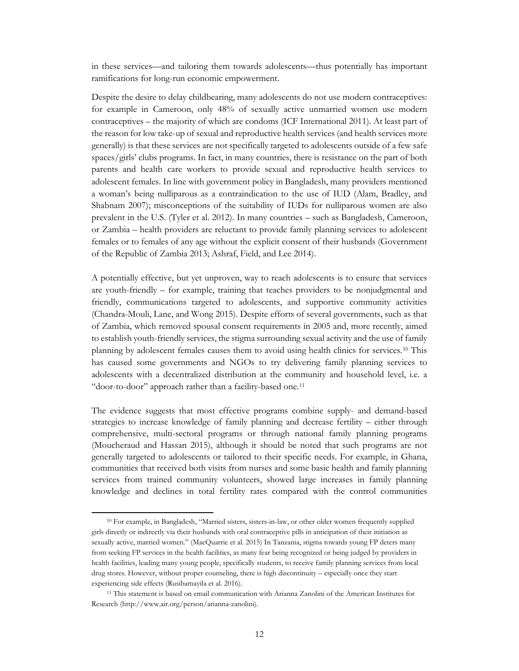in these services—and tailoring them towards adolescents—thus potentially has important ramifications for long-run economic empowerment.

Despite the desire to delay childbearing, many adolescents do not use modern contraceptives: for example in Cameroon, only 48% of sexually active unmarried women use modern contraceptives – the majority of which are condoms (ICF International 2011). At least part of the reason for low take-up of sexual and reproductive health services (and health services more generally) is that these services are not specifically targeted to adolescents outside of a few safe spaces/girls' clubs programs. In fact, in many countries, there is resistance on the part of both parents and health care workers to provide sexual and reproductive health services to adolescent females. In line with government policy in Bangladesh, many providers mentioned a woman's being nulliparous as a contraindication to the use of IUD (Alam, Bradley, and Shabnam 2007); misconceptions of the suitability of IUDs for nulliparous women are also prevalent in the U.S. (Tyler et al. 2012). In many countries – such as Bangladesh, Cameroon, or Zambia – health providers are reluctant to provide family planning services to adolescent females or to females of any age without the explicit consent of their husbands (Government of the Republic of Zambia 2013; Ashraf, Field, and Lee 2014).

A potentially effective, but yet unproven, way to reach adolescents is to ensure that services are youth-friendly – for example, training that teaches providers to be nonjudgmental and friendly, communications targeted to adolescents, and supportive community activities (Chandra-Mouli, Lane, and Wong 2015). Despite efforts of several governments, such as that of Zambia, which removed spousal consent requirements in 2005 and, more recently, aimed to establish youth-friendly services, the stigma surrounding sexual activity and the use of family planning by adolescent females causes them to avoid using health clinics for services.[10](#page-13-0) This has caused some governments and NGOs to try delivering family planning services to adolescents with a decentralized distribution at the community and household level, i.e. a "door-to-door" approach rather than a facility-based one.[11](#page-13-1)

The evidence suggests that most effective programs combine supply- and demand-based strategies to increase knowledge of family planning and decrease fertility – either through comprehensive, multi-sectoral programs or through national family planning programs (Moucheraud and Hassan 2015), although it should be noted that such programs are not generally targeted to adolescents or tailored to their specific needs. For example, in Ghana, communities that received both visits from nurses and some basic health and family planning services from trained community volunteers, showed large increases in family planning knowledge and declines in total fertility rates compared with the control communities

 $\overline{a}$ 

<span id="page-13-0"></span><sup>10</sup> For example, in Bangladesh, "Married sisters, sisters-in-law, or other older women frequently supplied girls directly or indirectly via their husbands with oral contraceptive pills in anticipation of their initiation as sexually active, married women." (MacQuarrie et al. 2015) In Tanzania, stigma towards young FP deters many from seeking FP services in the health facilities, as many fear being recognized or being judged by providers in health facilities, leading many young people, specifically students, to receive family planning services from local drug stores. However, without proper counseling, there is high discontinuity – especially once they start experiencing side effects (Rusibamayila et al. 2016).

<span id="page-13-1"></span><sup>11</sup> This statement is based on email communication with Arianna Zanolini of the American Institutes for Research (http://www.air.org/person/arianna-zanolini).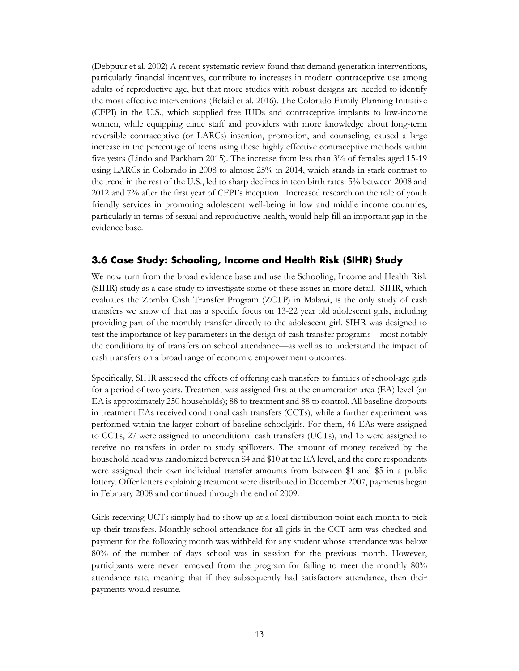(Debpuur et al. 2002) A recent systematic review found that demand generation interventions, particularly financial incentives, contribute to increases in modern contraceptive use among adults of reproductive age, but that more studies with robust designs are needed to identify the most effective interventions (Belaid et al. 2016). The Colorado Family Planning Initiative (CFPI) in the U.S., which supplied free IUDs and contraceptive implants to low-income women, while equipping clinic staff and providers with more knowledge about long-term reversible contraceptive (or LARCs) insertion, promotion, and counseling, caused a large increase in the percentage of teens using these highly effective contraceptive methods within five years (Lindo and Packham 2015). The increase from less than 3% of females aged 15-19 using LARCs in Colorado in 2008 to almost 25% in 2014, which stands in stark contrast to the trend in the rest of the U.S., led to sharp declines in teen birth rates: 5% between 2008 and 2012 and 7% after the first year of CFPI's inception. Increased research on the role of youth friendly services in promoting adolescent well-being in low and middle income countries, particularly in terms of sexual and reproductive health, would help fill an important gap in the evidence base.

#### <span id="page-14-0"></span>**3.6 Case Study: Schooling, Income and Health Risk (SIHR) Study**

We now turn from the broad evidence base and use the Schooling, Income and Health Risk (SIHR) study as a case study to investigate some of these issues in more detail. SIHR, which evaluates the Zomba Cash Transfer Program (ZCTP) in Malawi, is the only study of cash transfers we know of that has a specific focus on 13-22 year old adolescent girls, including providing part of the monthly transfer directly to the adolescent girl. SIHR was designed to test the importance of key parameters in the design of cash transfer programs—most notably the conditionality of transfers on school attendance—as well as to understand the impact of cash transfers on a broad range of economic empowerment outcomes.

Specifically, SIHR assessed the effects of offering cash transfers to families of school-age girls for a period of two years. Treatment was assigned first at the enumeration area (EA) level (an EA is approximately 250 households); 88 to treatment and 88 to control. All baseline dropouts in treatment EAs received conditional cash transfers (CCTs), while a further experiment was performed within the larger cohort of baseline schoolgirls. For them, 46 EAs were assigned to CCTs, 27 were assigned to unconditional cash transfers (UCTs), and 15 were assigned to receive no transfers in order to study spillovers. The amount of money received by the household head was randomized between \$4 and \$10 at the EA level, and the core respondents were assigned their own individual transfer amounts from between \$1 and \$5 in a public lottery. Offer letters explaining treatment were distributed in December 2007, payments began in February 2008 and continued through the end of 2009.

Girls receiving UCTs simply had to show up at a local distribution point each month to pick up their transfers. Monthly school attendance for all girls in the CCT arm was checked and payment for the following month was withheld for any student whose attendance was below 80% of the number of days school was in session for the previous month. However, participants were never removed from the program for failing to meet the monthly 80% attendance rate, meaning that if they subsequently had satisfactory attendance, then their payments would resume.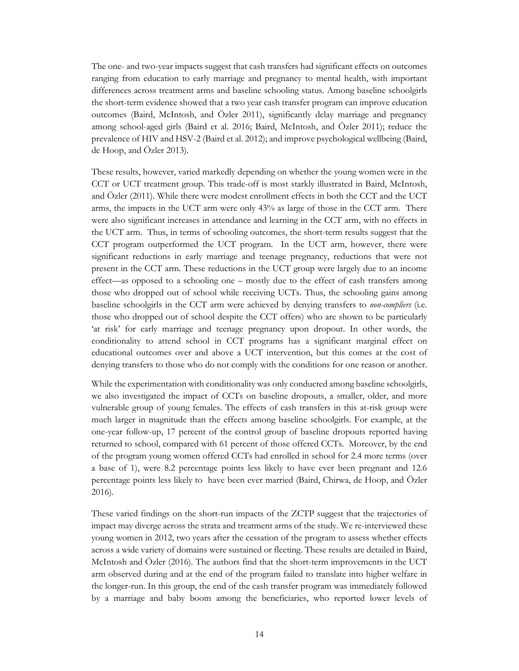The one- and two-year impacts suggest that cash transfers had significant effects on outcomes ranging from education to early marriage and pregnancy to mental health, with important differences across treatment arms and baseline schooling status. Among baseline schoolgirls the short-term evidence showed that a two year cash transfer program can improve education outcomes (Baird, McIntosh, and Özler 2011), significantly delay marriage and pregnancy among school-aged girls (Baird et al. 2016; Baird, McIntosh, and Özler 2011); reduce the prevalence of HIV and HSV-2 (Baird et al. 2012); and improve psychological wellbeing (Baird, de Hoop, and Özler 2013).

These results, however, varied markedly depending on whether the young women were in the CCT or UCT treatment group. This trade-off is most starkly illustrated in Baird, McIntosh, and Özler (2011). While there were modest enrollment effects in both the CCT and the UCT arms, the impacts in the UCT arm were only 43% as large of those in the CCT arm. There were also significant increases in attendance and learning in the CCT arm, with no effects in the UCT arm. Thus, in terms of schooling outcomes, the short-term results suggest that the CCT program outperformed the UCT program. In the UCT arm, however, there were significant reductions in early marriage and teenage pregnancy, reductions that were not present in the CCT arm. These reductions in the UCT group were largely due to an income effect—as opposed to a schooling one – mostly due to the effect of cash transfers among those who dropped out of school while receiving UCTs. Thus, the schooling gains among baseline schoolgirls in the CCT arm were achieved by denying transfers to *non-compliers* (i.e. those who dropped out of school despite the CCT offers) who are shown to be particularly 'at risk' for early marriage and teenage pregnancy upon dropout. In other words, the conditionality to attend school in CCT programs has a significant marginal effect on educational outcomes over and above a UCT intervention, but this comes at the cost of denying transfers to those who do not comply with the conditions for one reason or another.

While the experimentation with conditionality was only conducted among baseline schoolgirls, we also investigated the impact of CCTs on baseline dropouts, a smaller, older, and more vulnerable group of young females. The effects of cash transfers in this at-risk group were much larger in magnitude than the effects among baseline schoolgirls. For example, at the one-year follow-up, 17 percent of the control group of baseline dropouts reported having returned to school, compared with 61 percent of those offered CCTs. Moreover, by the end of the program young women offered CCTs had enrolled in school for 2.4 more terms (over a base of 1), were 8.2 percentage points less likely to have ever been pregnant and 12.6 percentage points less likely to have been ever married (Baird, Chirwa, de Hoop, and Özler 2016).

These varied findings on the short-run impacts of the ZCTP suggest that the trajectories of impact may diverge across the strata and treatment arms of the study. We re-interviewed these young women in 2012, two years after the cessation of the program to assess whether effects across a wide variety of domains were sustained or fleeting. These results are detailed in Baird, McIntosh and Özler (2016). The authors find that the short-term improvements in the UCT arm observed during and at the end of the program failed to translate into higher welfare in the longer-run. In this group, the end of the cash transfer program was immediately followed by a marriage and baby boom among the beneficiaries, who reported lower levels of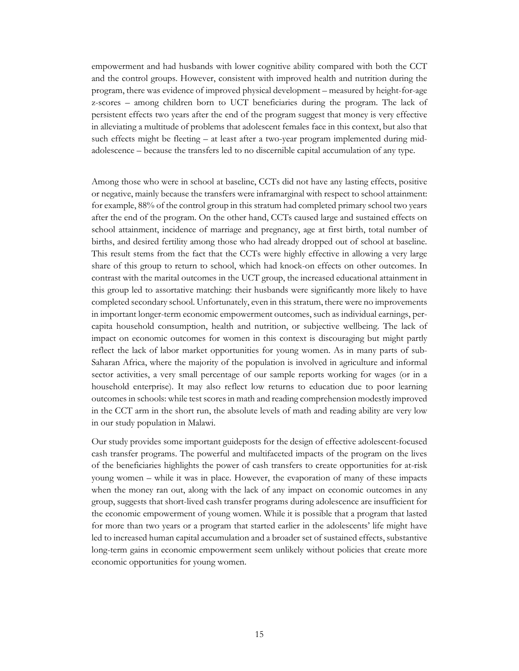empowerment and had husbands with lower cognitive ability compared with both the CCT and the control groups. However, consistent with improved health and nutrition during the program, there was evidence of improved physical development – measured by height-for-age z-scores – among children born to UCT beneficiaries during the program. The lack of persistent effects two years after the end of the program suggest that money is very effective in alleviating a multitude of problems that adolescent females face in this context, but also that such effects might be fleeting – at least after a two-year program implemented during midadolescence – because the transfers led to no discernible capital accumulation of any type.

Among those who were in school at baseline, CCTs did not have any lasting effects, positive or negative, mainly because the transfers were inframarginal with respect to school attainment: for example, 88% of the control group in this stratum had completed primary school two years after the end of the program. On the other hand, CCTs caused large and sustained effects on school attainment, incidence of marriage and pregnancy, age at first birth, total number of births, and desired fertility among those who had already dropped out of school at baseline. This result stems from the fact that the CCTs were highly effective in allowing a very large share of this group to return to school, which had knock-on effects on other outcomes. In contrast with the marital outcomes in the UCT group, the increased educational attainment in this group led to assortative matching: their husbands were significantly more likely to have completed secondary school. Unfortunately, even in this stratum, there were no improvements in important longer-term economic empowerment outcomes, such as individual earnings, percapita household consumption, health and nutrition, or subjective wellbeing. The lack of impact on economic outcomes for women in this context is discouraging but might partly reflect the lack of labor market opportunities for young women. As in many parts of sub-Saharan Africa, where the majority of the population is involved in agriculture and informal sector activities, a very small percentage of our sample reports working for wages (or in a household enterprise). It may also reflect low returns to education due to poor learning outcomes in schools: while test scores in math and reading comprehension modestly improved in the CCT arm in the short run, the absolute levels of math and reading ability are very low in our study population in Malawi.

Our study provides some important guideposts for the design of effective adolescent-focused cash transfer programs. The powerful and multifaceted impacts of the program on the lives of the beneficiaries highlights the power of cash transfers to create opportunities for at-risk young women – while it was in place. However, the evaporation of many of these impacts when the money ran out, along with the lack of any impact on economic outcomes in any group, suggests that short-lived cash transfer programs during adolescence are insufficient for the economic empowerment of young women. While it is possible that a program that lasted for more than two years or a program that started earlier in the adolescents' life might have led to increased human capital accumulation and a broader set of sustained effects, substantive long-term gains in economic empowerment seem unlikely without policies that create more economic opportunities for young women.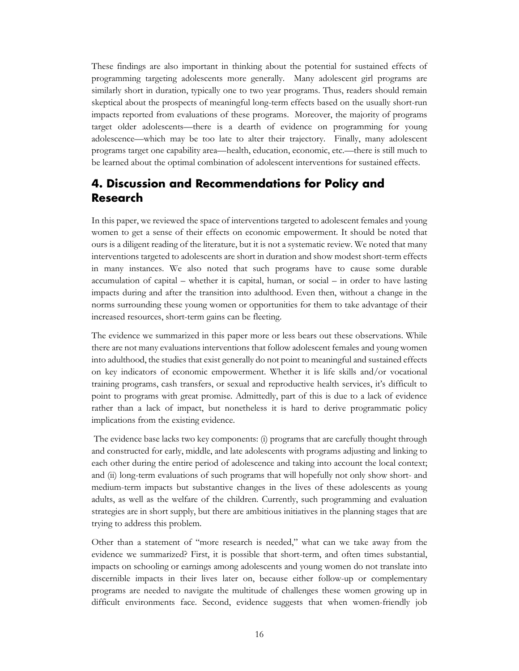These findings are also important in thinking about the potential for sustained effects of programming targeting adolescents more generally. Many adolescent girl programs are similarly short in duration, typically one to two year programs. Thus, readers should remain skeptical about the prospects of meaningful long-term effects based on the usually short-run impacts reported from evaluations of these programs. Moreover, the majority of programs target older adolescents—there is a dearth of evidence on programming for young adolescence—which may be too late to alter their trajectory. Finally, many adolescent programs target one capability area—health, education, economic, etc.—there is still much to be learned about the optimal combination of adolescent interventions for sustained effects.

# <span id="page-17-0"></span>**4. Discussion and Recommendations for Policy and Research**

In this paper, we reviewed the space of interventions targeted to adolescent females and young women to get a sense of their effects on economic empowerment. It should be noted that ours is a diligent reading of the literature, but it is not a systematic review. We noted that many interventions targeted to adolescents are short in duration and show modest short-term effects in many instances. We also noted that such programs have to cause some durable accumulation of capital – whether it is capital, human, or social – in order to have lasting impacts during and after the transition into adulthood. Even then, without a change in the norms surrounding these young women or opportunities for them to take advantage of their increased resources, short-term gains can be fleeting.

The evidence we summarized in this paper more or less bears out these observations. While there are not many evaluations interventions that follow adolescent females and young women into adulthood, the studies that exist generally do not point to meaningful and sustained effects on key indicators of economic empowerment. Whether it is life skills and/or vocational training programs, cash transfers, or sexual and reproductive health services, it's difficult to point to programs with great promise. Admittedly, part of this is due to a lack of evidence rather than a lack of impact, but nonetheless it is hard to derive programmatic policy implications from the existing evidence.

The evidence base lacks two key components: (i) programs that are carefully thought through and constructed for early, middle, and late adolescents with programs adjusting and linking to each other during the entire period of adolescence and taking into account the local context; and (ii) long-term evaluations of such programs that will hopefully not only show short- and medium-term impacts but substantive changes in the lives of these adolescents as young adults, as well as the welfare of the children. Currently, such programming and evaluation strategies are in short supply, but there are ambitious initiatives in the planning stages that are trying to address this problem.

Other than a statement of "more research is needed," what can we take away from the evidence we summarized? First, it is possible that short-term, and often times substantial, impacts on schooling or earnings among adolescents and young women do not translate into discernible impacts in their lives later on, because either follow-up or complementary programs are needed to navigate the multitude of challenges these women growing up in difficult environments face. Second, evidence suggests that when women-friendly job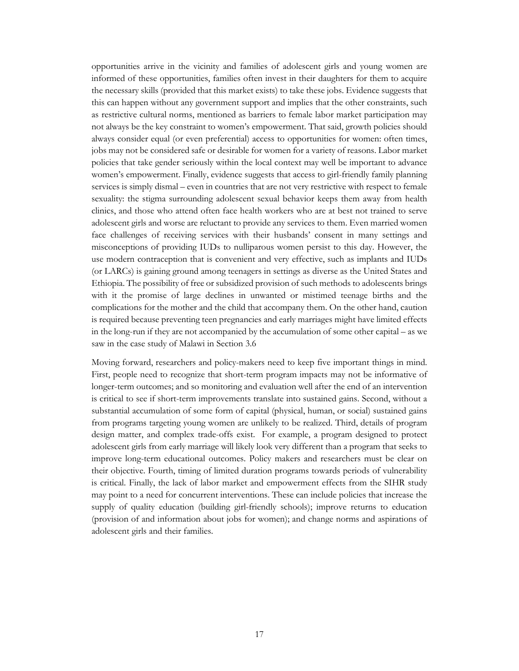opportunities arrive in the vicinity and families of adolescent girls and young women are informed of these opportunities, families often invest in their daughters for them to acquire the necessary skills (provided that this market exists) to take these jobs. Evidence suggests that this can happen without any government support and implies that the other constraints, such as restrictive cultural norms, mentioned as barriers to female labor market participation may not always be the key constraint to women's empowerment. That said, growth policies should always consider equal (or even preferential) access to opportunities for women: often times, jobs may not be considered safe or desirable for women for a variety of reasons. Labor market policies that take gender seriously within the local context may well be important to advance women's empowerment. Finally, evidence suggests that access to girl-friendly family planning services is simply dismal – even in countries that are not very restrictive with respect to female sexuality: the stigma surrounding adolescent sexual behavior keeps them away from health clinics, and those who attend often face health workers who are at best not trained to serve adolescent girls and worse are reluctant to provide any services to them. Even married women face challenges of receiving services with their husbands' consent in many settings and misconceptions of providing IUDs to nulliparous women persist to this day. However, the use modern contraception that is convenient and very effective, such as implants and IUDs (or LARCs) is gaining ground among teenagers in settings as diverse as the United States and Ethiopia. The possibility of free or subsidized provision of such methods to adolescents brings with it the promise of large declines in unwanted or mistimed teenage births and the complications for the mother and the child that accompany them. On the other hand, caution is required because preventing teen pregnancies and early marriages might have limited effects in the long-run if they are not accompanied by the accumulation of some other capital – as we saw in the case study of Malawi in Section 3.6

Moving forward, researchers and policy-makers need to keep five important things in mind. First, people need to recognize that short-term program impacts may not be informative of longer-term outcomes; and so monitoring and evaluation well after the end of an intervention is critical to see if short-term improvements translate into sustained gains. Second, without a substantial accumulation of some form of capital (physical, human, or social) sustained gains from programs targeting young women are unlikely to be realized. Third, details of program design matter, and complex trade-offs exist. For example, a program designed to protect adolescent girls from early marriage will likely look very different than a program that seeks to improve long-term educational outcomes. Policy makers and researchers must be clear on their objective. Fourth, timing of limited duration programs towards periods of vulnerability is critical. Finally, the lack of labor market and empowerment effects from the SIHR study may point to a need for concurrent interventions. These can include policies that increase the supply of quality education (building girl-friendly schools); improve returns to education (provision of and information about jobs for women); and change norms and aspirations of adolescent girls and their families.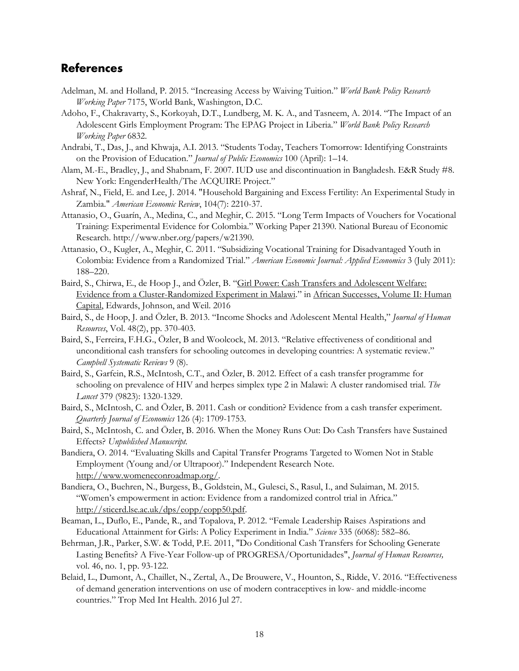## <span id="page-19-0"></span>**References**

- Adelman, M. and Holland, P. 2015. "Increasing Access by Waiving Tuition." *World Bank Policy Research Working Paper* 7175, World Bank, Washington, D.C.
- Adoho, F., Chakravarty, S., Korkoyah, D.T., Lundberg, M. K. A., and Tasneem, A. 2014. "The Impact of an Adolescent Girls Employment Program: The EPAG Project in Liberia." *World Bank Policy Research Working Paper* 6832.
- Andrabi, T., Das, J., and Khwaja, A.I. 2013. "Students Today, Teachers Tomorrow: Identifying Constraints on the Provision of Education." *Journal of Public Economics* 100 (April): 1–14.
- Alam, M.-E., Bradley, J., and Shabnam, F. 2007. IUD use and discontinuation in Bangladesh. E&R Study #8. New York: EngenderHealth/The ACQUIRE Project."
- Ashraf, N., Field, E. and Lee, J. 2014. "Household Bargaining and Excess Fertility: An Experimental Study in Zambia." *American Economic Review*, 104(7): 2210-37.
- Attanasio, O., Guarín, A., Medina, C., and Meghir, C. 2015. "Long Term Impacts of Vouchers for Vocational Training: Experimental Evidence for Colombia." Working Paper 21390. National Bureau of Economic Research. http://www.nber.org/papers/w21390.
- Attanasio, O., Kugler, A., Meghir, C. 2011. "Subsidizing Vocational Training for Disadvantaged Youth in Colombia: Evidence from a Randomized Trial." *American Economic Journal: Applied Economics* 3 (July 2011): 188–220.
- Baird, S., Chirwa, E., de Hoop J., and Özler, B. ["Girl Power: Cash Transfers and Adolescent Welfare:](http://www.nber.org/chapters/c13380)  [Evidence from a Cluster-Randomized Experiment in Malawi.](http://www.nber.org/chapters/c13380)" in [African Successes, Volume II: Human](http://www.nber.org/books/afri14-2)  [Capital,](http://www.nber.org/books/afri14-2) Edwards, Johnson, and Weil. 2016
- Baird, S., de Hoop, J. and Özler, B. 2013. "Income Shocks and Adolescent Mental Health," *Journal of Human Resources*, Vol. 48(2), pp. 370-403.
- Baird, S., Ferreira, F.H.G., Özler, B and Woolcock, M. 2013. "Relative effectiveness of conditional and unconditional cash transfers for schooling outcomes in developing countries: A systematic review." *Campbell Systematic Reviews* 9 (8).
- Baird, S., Garfein, R.S., McIntosh, C.T., and Özler, B. 2012. Effect of a cash transfer programme for schooling on prevalence of HIV and herpes simplex type 2 in Malawi: A cluster randomised trial. *The Lancet* 379 (9823): 1320-1329.
- Baird, S., McIntosh, C. and Özler, B. 2011. Cash or condition? Evidence from a cash transfer experiment. *Quarterly Journal of Economics* 126 (4): 1709-1753.
- Baird, S., McIntosh, C. and Özler, B. 2016. When the Money Runs Out: Do Cash Transfers have Sustained Effects? *Unpublished Manuscript.*
- Bandiera, O. 2014. "Evaluating Skills and Capital Transfer Programs Targeted to Women Not in Stable Employment (Young and/or Ultrapoor)." Independent Research Note. [http://www.womeneconroadmap.org/.](http://www.womeneconroadmap.org/)
- Bandiera, O., Buehren, N., Burgess, B., Goldstein, M., Gulesci, S., Rasul, I., and Sulaiman, M. 2015. "Women's empowerment in action: Evidence from a randomized control trial in Africa." [http://sticerd.lse.ac.uk/dps/eopp/eopp50.pdf.](http://sticerd.lse.ac.uk/dps/eopp/eopp50.pdf)
- Beaman, L., Duflo, E., Pande, R., and Topalova, P. 2012. "Female Leadership Raises Aspirations and Educational Attainment for Girls: A Policy Experiment in India." *Science* 335 (6068): 582–86.
- Behrman, J.R., Parker, S.W. & Todd, P.E. 2011, "Do Conditional Cash Transfers for Schooling Generate Lasting Benefits? A Five-Year Follow-up of PROGRESA/Oportunidades", *Journal of Human Resources,* vol. 46, no. 1, pp. 93-122.
- Belaid, L., Dumont, A., Chaillet, N., Zertal, A., De Brouwere, V., Hounton, S., Ridde, V. 2016. "Effectiveness of demand generation interventions on use of modern contraceptives in low- and middle-income countries." Trop Med Int Health. 2016 Jul 27.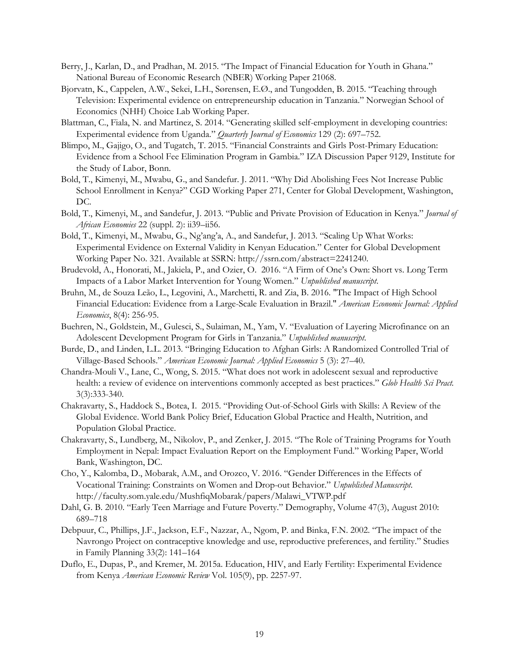- Berry, J., Karlan, D., and Pradhan, M. 2015. "The Impact of Financial Education for Youth in Ghana." National Bureau of Economic Research (NBER) Working Paper 21068.
- Bjorvatn, K., Cappelen, A.W., Sekei, L.H., Sørensen, E.Ø., and Tungodden, B. 2015. "Teaching through Television: Experimental evidence on entrepreneurship education in Tanzania." Norwegian School of Economics (NHH) Choice Lab Working Paper.
- Blattman, C., Fiala, N. and Martinez, S. 2014. "Generating skilled self-employment in developing countries: Experimental evidence from Uganda." *Quarterly Journal of Economics* 129 (2): 697–752.
- Blimpo, M., Gajigo, O., and Tugatch, T. 2015. "Financial Constraints and Girls Post-Primary Education: Evidence from a School Fee Elimination Program in Gambia." IZA Discussion Paper 9129, Institute for the Study of Labor, Bonn.
- Bold, T., Kimenyi, M., Mwabu, G., and Sandefur. J. 2011. "Why Did Abolishing Fees Not Increase Public School Enrollment in Kenya?" CGD Working Paper 271, Center for Global Development, Washington, DC.
- Bold, T., Kimenyi, M., and Sandefur, J. 2013. "Public and Private Provision of Education in Kenya." *Journal of African Economies* 22 (suppl. 2): ii39–ii56.
- Bold, T., Kimenyi, M., Mwabu, G., Ng'ang'a, A., and Sandefur, J. 2013. "Scaling Up What Works: Experimental Evidence on External Validity in Kenyan Education." Center for Global Development Working Paper No. 321. Available at SSRN: http://ssrn.com/abstract=2241240.
- Brudevold, A., Honorati, M., Jakiela, P., and Ozier, O. 2016. "A Firm of One's Own: Short vs. Long Term Impacts of a Labor Market Intervention for Young Women." *Unpublished manuscript*.
- Bruhn, M., de Souza Leão, L., Legovini, A., Marchetti, R. and Zia, B. 2016. "The Impact of High School Financial Education: Evidence from a Large-Scale Evaluation in Brazil." *American Economic Journal: Applied Economics*, 8(4): 256-95.
- Buehren, N., Goldstein, M., Gulesci, S., Sulaiman, M., Yam, V. "Evaluation of Layering Microfinance on an Adolescent Development Program for Girls in Tanzania." *Unpublished manuscript*.
- Burde, D., and Linden, L.L. 2013. "Bringing Education to Afghan Girls: A Randomized Controlled Trial of Village-Based Schools." *American Economic Journal: Applied Economics* 5 (3): 27–40.
- Chandra-Mouli V., Lane, C., Wong, S. 2015. "What does not work in adolescent sexual and reproductive health: a review of evidence on interventions commonly accepted as best practices." *Glob Health Sci Pract.* 3(3):333-340.
- Chakravarty, S., Haddock S., Botea, I. 2015. "Providing Out-of-School Girls with Skills: A Review of the Global Evidence. World Bank Policy Brief, Education Global Practice and Health, Nutrition, and Population Global Practice.
- Chakravarty, S., Lundberg, M., Nikolov, P., and Zenker, J. 2015. "The Role of Training Programs for Youth Employment in Nepal: Impact Evaluation Report on the Employment Fund." Working Paper, World Bank, Washington, DC.
- Cho, Y., Kalomba, D., Mobarak, A.M., and Orozco, V. 2016. "Gender Differences in the Effects of Vocational Training: Constraints on Women and Drop-out Behavior." *Unpublished Manuscript*. http://faculty.som.yale.edu/MushfiqMobarak/papers/Malawi\_VTWP.pdf
- Dahl, G. B. 2010. "Early Teen Marriage and Future Poverty." Demography, Volume 47(3), August 2010: 689–718
- Debpuur, C., Phillips, J.F., Jackson, E.F., Nazzar, A., Ngom, P. and Binka, F.N. 2002. "The impact of the Navrongo Project on contraceptive knowledge and use, reproductive preferences, and fertility." Studies in Family Planning 33(2): 141–164
- Duflo, E., Dupas, P., and Kremer, M. 2015a. Education, HIV, and Early Fertility: Experimental Evidence from Kenya *American Economic Review* Vol. 105(9), pp. 2257-97.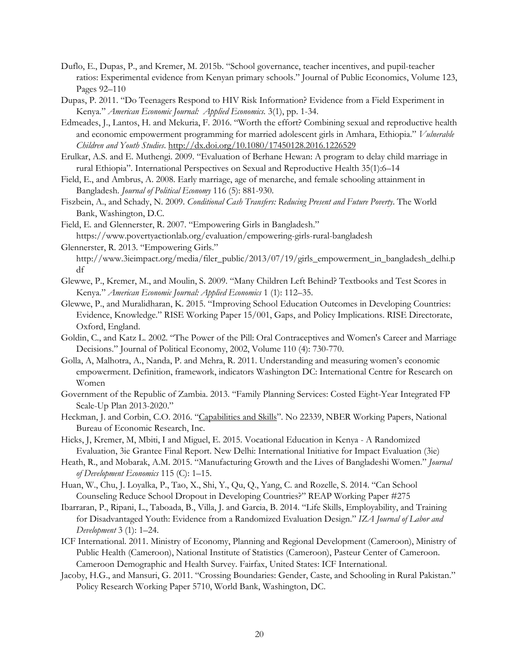- Duflo, E., Dupas, P., and Kremer, M. 2015b. "School governance, teacher incentives, and pupil-teacher ratios: Experimental evidence from Kenyan primary schools." Journal of Public Economics, Volume 123, Pages 92–110
- Dupas, P. 2011. "Do Teenagers Respond to HIV Risk Information? Evidence from a Field Experiment in Kenya." *American Economic Journal: Applied Economics.* 3(1), pp. 1-34.
- Edmeades, J., Lantos, H. and Mekuria, F. 2016. "Worth the effort? Combining sexual and reproductive health and economic empowerment programming for married adolescent girls in Amhara, Ethiopia." *Vulnerable Children and Youth Studies*.<http://dx.doi.org/10.1080/17450128.2016.1226529>
- Erulkar, A.S. and E. Muthengi. 2009. "Evaluation of Berhane Hewan: A program to delay child marriage in rural Ethiopia". International Perspectives on Sexual and Reproductive Health 35(1):6–14
- Field, E., and Ambrus, A. 2008. Early marriage, age of menarche, and female schooling attainment in Bangladesh. *Journal of Political Economy* 116 (5): 881-930.
- Fiszbein, A., and Schady, N. 2009. *Conditional Cash Transfers: Reducing Present and Future Poverty*. The World Bank, Washington, D.C.
- Field, E. and Glennerster, R. 2007. "Empowering Girls in Bangladesh." https://www.povertyactionlab.org/evaluation/empowering-girls-rural-bangladesh
- Glennerster, R. 2013. "Empowering Girls." http://www.3ieimpact.org/media/filer\_public/2013/07/19/girls\_empowerment\_in\_bangladesh\_delhi.p df
- Glewwe, P., Kremer, M., and Moulin, S. 2009. "Many Children Left Behind? Textbooks and Test Scores in Kenya." *American Economic Journal: Applied Economics* 1 (1): 112–35.
- Glewwe, P., and Muralidharan, K. 2015. "Improving School Education Outcomes in Developing Countries: Evidence, Knowledge." RISE Working Paper 15/001, Gaps, and Policy Implications. RISE Directorate, Oxford, England.
- Goldin, C., and Katz L. 2002. "The Power of the Pill: Oral Contraceptives and Women's Career and Marriage Decisions." Journal of Political Economy, 2002, Volume 110 (4): 730-770.
- Golla, A, Malhotra, A., Nanda, P. and Mehra, R. 2011. Understanding and measuring women's economic empowerment. Definition, framework, indicators Washington DC: International Centre for Research on Women
- Government of the Republic of Zambia. 2013. "Family Planning Services: Costed Eight-Year Integrated FP Scale-Up Plan 2013-2020."
- Heckman, J. and Corbin, C.O. 2016. ["Capabilities and Skills"](http://econpapers.repec.org/RePEc:nbr:nberwo:22339). No 22339, NBER Working Papers, National Bureau of Economic Research, Inc.
- Hicks, J, Kremer, M, Mbiti, I and Miguel, E. 2015. Vocational Education in Kenya A Randomized Evaluation, 3ie Grantee Final Report. New Delhi: International Initiative for Impact Evaluation (3ie)
- Heath, R., and Mobarak, A.M. 2015. "Manufacturing Growth and the Lives of Bangladeshi Women." *Journal of Development Economics* 115 (C): 1–15.
- Huan, W., Chu, J. Loyalka, P., Tao, X., Shi, Y., Qu, Q., Yang, C. and Rozelle, S. 2014. "Can School Counseling Reduce School Dropout in Developing Countries?" REAP Working Paper #275
- Ibarraran, P., Ripani, L., Taboada, B., Villa, J. and Garcia, B. 2014. "Life Skills, Employability, and Training for Disadvantaged Youth: Evidence from a Randomized Evaluation Design." *IZA Journal of Labor and Development* 3 (1): 1–24.
- ICF International. 2011. Ministry of Economy, Planning and Regional Development (Cameroon), Ministry of Public Health (Cameroon), National Institute of Statistics (Cameroon), Pasteur Center of Cameroon. Cameroon Demographic and Health Survey. Fairfax, United States: ICF International.
- Jacoby, H.G., and Mansuri, G. 2011. "Crossing Boundaries: Gender, Caste, and Schooling in Rural Pakistan." Policy Research Working Paper 5710, World Bank, Washington, DC.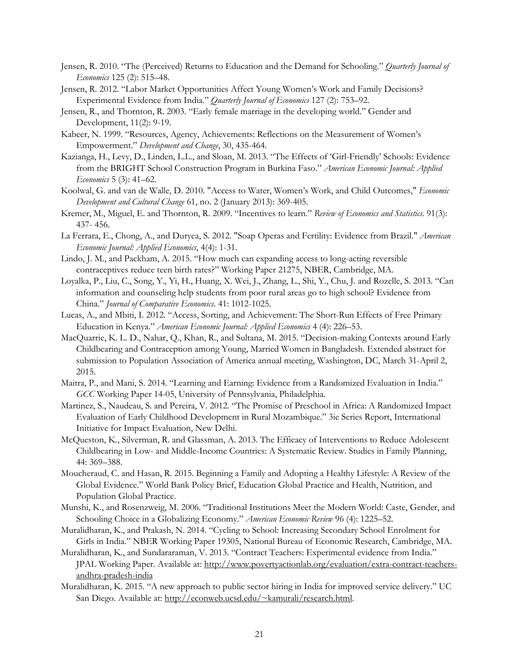- Jensen, R. 2010. "The (Perceived) Returns to Education and the Demand for Schooling." *Quarterly Journal of Economics* 125 (2): 515–48.
- Jensen, R. 2012. "Labor Market Opportunities Affect Young Women's Work and Family Decisions? Experimental Evidence from India." *Quarterly Journal of Economics* 127 (2): 753–92.
- Jensen, R., and Thornton, R. 2003. "Early female marriage in the developing world." Gender and Development, 11(2): 9-19.
- Kabeer, N. 1999. "Resources, Agency, Achievements: Reflections on the Measurement of Women's Empowerment." *Development and Change*, 30, 435-464.
- Kazianga, H., Levy, D., Linden, L.L., and Sloan, M. 2013. "The Effects of 'Girl-Friendly' Schools: Evidence from the BRIGHT School Construction Program in Burkina Faso." *American Economic Journal: Applied Economics* 5 (3): 41–62.
- Koolwal, G. and van de Walle, D. 2010. "Access to Water, Women's Work, and Child Outcomes," *Economic Development and Cultural Change* 61, no. 2 (January 2013): 369-405.
- Kremer, M., Miguel, E. and Thornton, R. 2009. "Incentives to learn." *Review of Economics and Statistics.* 91(3): 437- 456.
- La Ferrara, E., Chong, A., and Duryea, S. 2012. "Soap Operas and Fertility: Evidence from Brazil." *American Economic Journal: Applied Economics*, 4(4): 1-31.
- Lindo, J. M., and Packham, A. 2015. "How much can expanding access to long-acting reversible contraceptives reduce teen birth rates?" Working Paper 21275, NBER, Cambridge, MA.
- Loyalka, P., Liu, C., Song, Y., Yi, H., Huang, X. Wei, J., Zhang, L., Shi, Y., Chu, J. and Rozelle, S. 2013. "Can information and counseling help students from poor rural areas go to high school? Evidence from China." *Journal of Comparative Economics*. 41: 1012-1025.
- Lucas, A., and Mbiti, I. 2012. "Access, Sorting, and Achievement: The Short-Run Effects of Free Primary Education in Kenya." *American Economic Journal: Applied Economics* 4 (4): 226–53.
- MacQuarrie, K. L. D., Nahar, Q., Khan, R., and Sultana, M. 2015. "Decision-making Contexts around Early Childbearing and Contraception among Young, Married Women in Bangladesh. Extended abstract for submission to Population Association of America annual meeting, Washington, DC, March 31-April 2, 2015.
- Maitra, P., and Mani, S. 2014. "Learning and Earning: Evidence from a Randomized Evaluation in India." *GCC* Working Paper 14-05, University of Pennsylvania, Philadelphia.
- Martinez, S., Naudeau, S. and Pereira, V. 2012. "The Promise of Preschool in Africa: A Randomized Impact Evaluation of Early Childhood Development in Rural Mozambique." 3ie Series Report, International Initiative for Impact Evaluation, New Delhi.
- McQueston, K., Silverman, R. and Glassman, A. 2013. The Efficacy of Interventions to Reduce Adolescent Childbearing in Low- and Middle-Income Countries: A Systematic Review. Studies in Family Planning, 44: 369–388.
- Moucheraud, C. and Hasan, R. 2015. Beginning a Family and Adopting a Healthy Lifestyle: A Review of the Global Evidence." World Bank Policy Brief, Education Global Practice and Health, Nutrition, and Population Global Practice.
- Munshi, K., and Rosenzweig, M. 2006. "Traditional Institutions Meet the Modern World: Caste, Gender, and Schooling Choice in a Globalizing Economy." *American Economic Review* 96 (4): 1225–52.
- Muralidharan, K., and Prakash, N. 2014. "Cycling to School: Increasing Secondary School Enrolment for Girls in India." NBER Working Paper 19305, National Bureau of Economic Research, Cambridge, MA.
- Muralidharan, K., and Sundararaman, V. 2013. "Contract Teachers: Experimental evidence from India." JPAL Working Paper. Available at: [http://www.povertyactionlab.org/evaluation/extra-contract-teachers](http://www.povertyactionlab.org/evaluation/extra-contract-teachers-andhra-pradesh-india)[andhra-pradesh-india](http://www.povertyactionlab.org/evaluation/extra-contract-teachers-andhra-pradesh-india)
- Muralidharan, K. 2015. "A new approach to public sector hiring in India for improved service delivery." UC San Diego. Available at: [http://econweb.ucsd.edu/~kamurali/research.html.](http://econweb.ucsd.edu/%7Ekamurali/research.html)